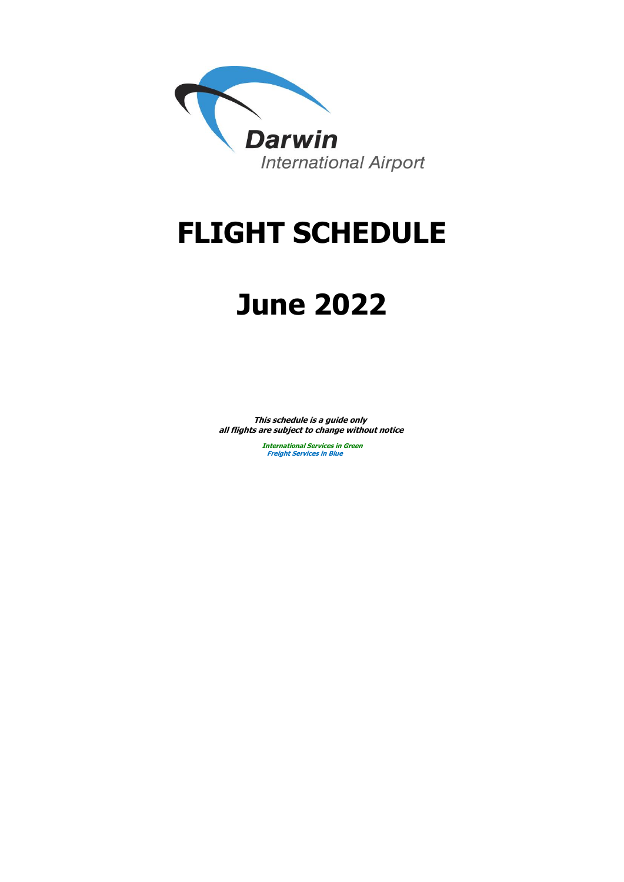

# **FLIGHT SCHEDULE**

# **June 2022**

**This schedule is a guide only all flights are subject to change without notice**

> **Freight Services in Blue International Services in Green**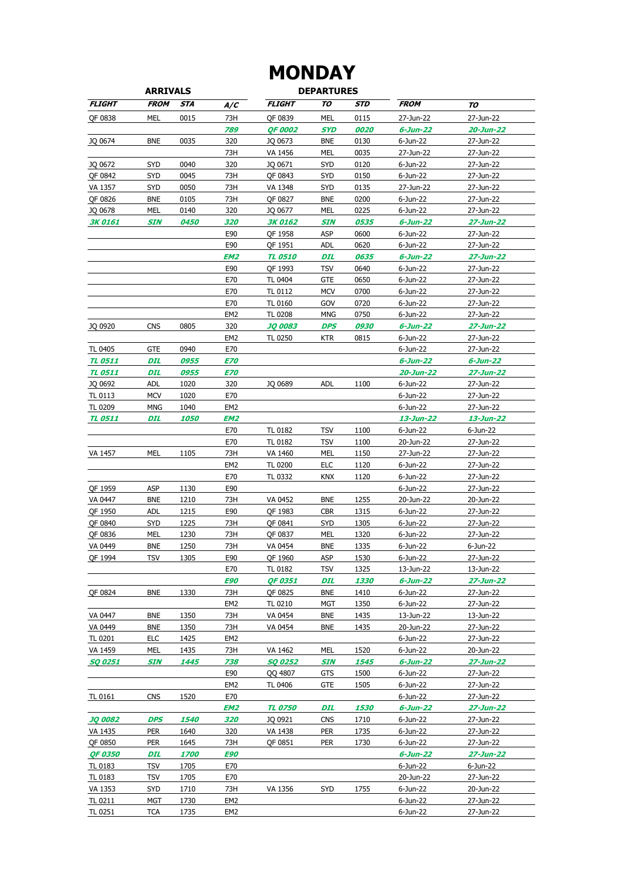### **MONDAY**

| <b>ARRIVALS</b> |             |                    |                 |                | <b>DEPARTURES</b> |                    |                |                 |
|-----------------|-------------|--------------------|-----------------|----------------|-------------------|--------------------|----------------|-----------------|
| <b>FLIGHT</b>   | <b>FROM</b> | <b>STA</b>         | A/C             | <b>FLIGHT</b>  | TO                | STD                | <b>FROM</b>    | TO              |
| QF 0838         | MEL         | 0015               | 73H             | QF 0839        | <b>MEL</b>        | 0115               | 27-Jun-22      | 27-Jun-22       |
|                 |             |                    | 789             | <b>QF 0002</b> | SYD               | 0020               | 6-Jun-22       | 20-Jun-22       |
| JQ 0674         | <b>BNE</b>  | 0035               | 320             | JQ 0673        | <b>BNE</b>        | 0130               | 6-Jun-22       | 27-Jun-22       |
|                 |             |                    | 73H             | VA 1456        | <b>MEL</b>        | 0035               | 27-Jun-22      | 27-Jun-22       |
| JQ 0672         | <b>SYD</b>  | 0040               | 320             | JQ 0671        | <b>SYD</b>        | 0120               | 6-Jun-22       | 27-Jun-22       |
| QF 0842         | <b>SYD</b>  | 0045               | 73H             | QF 0843        | <b>SYD</b>        | 0150               | 6-Jun-22       | 27-Jun-22       |
| VA 1357         | <b>SYD</b>  | 0050               | 73H             | VA 1348        | <b>SYD</b>        | 0135               | 27-Jun-22      | 27-Jun-22       |
| QF 0826         | <b>BNE</b>  | 0105               | 73H             | QF 0827        | <b>BNE</b>        | 0200               | 6-Jun-22       | 27-Jun-22       |
| JQ 0678         | MEL         | 0140               | 320             | JQ 0677        | MEL               | 0225               | 6-Jun-22       | 27-Jun-22       |
| <b>3K0161</b>   | <b>SIN</b>  | 0450               | 320             | <b>3K 0162</b> | <b>SIN</b>        | 0535               | $6 - Jun - 22$ | 27-Jun-22       |
|                 |             |                    | E90             | QF 1958        | ASP               | 0600               | 6-Jun-22       | 27-Jun-22       |
|                 |             |                    | E90             | QF 1951        | <b>ADL</b>        | 0620               | 6-Jun-22       | 27-Jun-22       |
|                 |             |                    | EM <sub>2</sub> | <b>TL 0510</b> | DIL               | 0635               | 6-Jun-22       | 27-Jun-22       |
|                 |             |                    | E90             | QF 1993        | <b>TSV</b>        | 0640               | 6-Jun-22       | 27-Jun-22       |
|                 |             |                    | E70             | TL 0404        | <b>GTE</b>        | 0650               | 6-Jun-22       | 27-Jun-22       |
|                 |             |                    | E70             | TL 0112        | <b>MCV</b>        | 0700               | 6-Jun-22       | 27-Jun-22       |
|                 |             |                    | E70             | TL 0160        | GOV               | 0720               | 6-Jun-22       | 27-Jun-22       |
|                 |             |                    | EM <sub>2</sub> | <b>TL 0208</b> | <b>MNG</b>        | 0750               | 6-Jun-22       | 27-Jun-22       |
| JQ 0920         | <b>CNS</b>  | 0805               | 320             | <b>JQ 0083</b> | DPS               | 0930               | 6-Jun-22       | 27-Jun-22       |
|                 |             |                    | EM <sub>2</sub> | TL 0250        | <b>KTR</b>        | 0815               | 6-Jun-22       | 27-Jun-22       |
| TL 0405         | <b>GTE</b>  | 0940               | E70             |                |                   |                    | 6-Jun-22       | 27-Jun-22       |
| <b>TL 0511</b>  | <b>DIL</b>  | 0955               | <b>E70</b>      |                |                   |                    | $6 - Jun - 22$ | $6 - Jun - 22$  |
| <b>TL 0511</b>  |             |                    |                 |                |                   |                    |                |                 |
|                 | DIL         | 0955               | <b>E70</b>      |                | <b>ADL</b>        |                    | 20-Jun-22      | 27-Jun-22       |
| JQ 0692         | ADL         | 1020               | 320             | JQ 0689        |                   | 1100               | 6-Jun-22       | 27-Jun-22       |
| TL 0113         | <b>MCV</b>  | 1020               | E70             |                |                   |                    | 6-Jun-22       | 27-Jun-22       |
| TL 0209         | <b>MNG</b>  | 1040               | EM <sub>2</sub> |                |                   |                    | 6-Jun-22       | 27-Jun-22       |
| <b>TL 0511</b>  | DIL         | <i><b>1050</b></i> | EM2             |                |                   |                    | 13-Jun-22      | 13-Jun-22       |
|                 |             |                    | E70             | TL 0182        | <b>TSV</b>        | 1100               | 6-Jun-22       | 6-Jun-22        |
|                 |             |                    | E70             | TL 0182        | <b>TSV</b>        | 1100               | 20-Jun-22      | 27-Jun-22       |
| VA 1457         | MEL         | 1105               | 73H             | VA 1460        | MEL               | 1150               | 27-Jun-22      | 27-Jun-22       |
|                 |             |                    | EM <sub>2</sub> | TL 0200        | <b>ELC</b>        | 1120               | 6-Jun-22       | 27-Jun-22       |
|                 |             |                    | E70             | TL 0332        | <b>KNX</b>        | 1120               | 6-Jun-22       | 27-Jun-22       |
| QF 1959         | <b>ASP</b>  | 1130               | E90             |                |                   |                    | 6-Jun-22       | 27-Jun-22       |
| VA 0447         | <b>BNE</b>  | 1210               | 73H             | VA 0452        | <b>BNE</b>        | 1255               | 20-Jun-22      | 20-Jun-22       |
| QF 1950         | <b>ADL</b>  | 1215               | E90             | QF 1983        | <b>CBR</b>        | 1315               | 6-Jun-22       | 27-Jun-22       |
| QF 0840         | <b>SYD</b>  | 1225               | 73H             | OF 0841        | <b>SYD</b>        | 1305               | 6-Jun-22       | 27-Jun-22       |
| QF 0836         | MEL         | 1230               | 73H             | QF 0837        | MEL               | 1320               | 6-Jun-22       | 27-Jun-22       |
| VA 0449         | <b>BNE</b>  | 1250               | 73H             | VA 0454        | <b>BNE</b>        | 1335               | 6-Jun-22       | 6-Jun-22        |
| QF 1994         | <b>TSV</b>  | 1305               | E90             | QF 1960        | ASP               | 1530               | 6-Jun-22       | 27-Jun-22       |
|                 |             |                    | E70             | TL 0182        | TSV               | 1325               | 13-Jun-22      | 13-Jun-22       |
|                 |             |                    | <b>E90</b>      | QF 0351        | DIL               | <i><b>1330</b></i> | $6 - Jun - 22$ | 27-Jun-22       |
| QF 0824         | <b>BNE</b>  | 1330               | 73H             | QF 0825        | <b>BNE</b>        | 1410               | 6-Jun-22       | 27-Jun-22       |
|                 |             |                    | EM <sub>2</sub> | TL 0210        | MGT               | 1350               | $6 - Jun-22$   | 27-Jun-22       |
| VA 0447         | <b>BNE</b>  | 1350               | 73H             | VA 0454        | <b>BNE</b>        | 1435               | 13-Jun-22      | 13-Jun-22       |
| VA 0449         | <b>BNE</b>  | 1350               | 73H             | VA 0454        | <b>BNE</b>        | 1435               | 20-Jun-22      | 27-Jun-22       |
| TL 0201         | <b>ELC</b>  | 1425               | EM <sub>2</sub> |                |                   |                    | 6-Jun-22       | 27-Jun-22       |
| VA 1459         | MEL         | 1435               | 73H             | VA 1462        | MEL               | 1520               | 6-Jun-22       | 20-Jun-22       |
| <b>SQ 0251</b>  | SIN         | 1445               | 738             | <b>SQ 0252</b> | <b>SIN</b>        | 1545               | 6-Jun-22       | $27 - Jun - 22$ |
|                 |             |                    | E90             | QQ 4807        | <b>GTS</b>        | 1500               | 6-Jun-22       | 27-Jun-22       |
|                 |             |                    | EM <sub>2</sub> | TL 0406        | <b>GTE</b>        | 1505               | 6-Jun-22       | 27-Jun-22       |
| <b>TL 0161</b>  | <b>CNS</b>  | 1520               | E70             |                |                   |                    | 6-Jun-22       | 27-Jun-22       |
|                 |             |                    | EM2             | <b>TL 0750</b> | DIL               | <i><b>1530</b></i> | 6-Jun-22       | 27-Jun-22       |
| <b>JQ 0082</b>  | <b>DPS</b>  | <i><b>1540</b></i> | 320             | JQ 0921        | <b>CNS</b>        | 1710               | 6-Jun-22       | 27-Jun-22       |
| VA 1435         | <b>PER</b>  | 1640               | 320             | VA 1438        | <b>PER</b>        | 1735               | 6-Jun-22       | 27-Jun-22       |
| QF 0850         | <b>PER</b>  | 1645               | 73H             | QF 0851        | <b>PER</b>        | 1730               | 6-Jun-22       | 27-Jun-22       |
| <b>QF 0350</b>  | DIL         | <i><b>1700</b></i> | <b>E90</b>      |                |                   |                    | 6-Jun-22       | 27-Jun-22       |
| TL 0183         | <b>TSV</b>  | 1705               | E70             |                |                   |                    | 6-Jun-22       | 6-Jun-22        |
| TL 0183         | <b>TSV</b>  | 1705               | E70             |                |                   |                    | 20-Jun-22      | 27-Jun-22       |
| VA 1353         | SYD         | 1710               | 73H             | VA 1356        | <b>SYD</b>        | 1755               | 6-Jun-22       | 20-Jun-22       |
| TL 0211         | MGT         | 1730               | EM <sub>2</sub> |                |                   |                    | 6-Jun-22       | 27-Jun-22       |
| TL 0251         | <b>TCA</b>  | 1735               | EM <sub>2</sub> |                |                   |                    | 6-Jun-22       | 27-Jun-22       |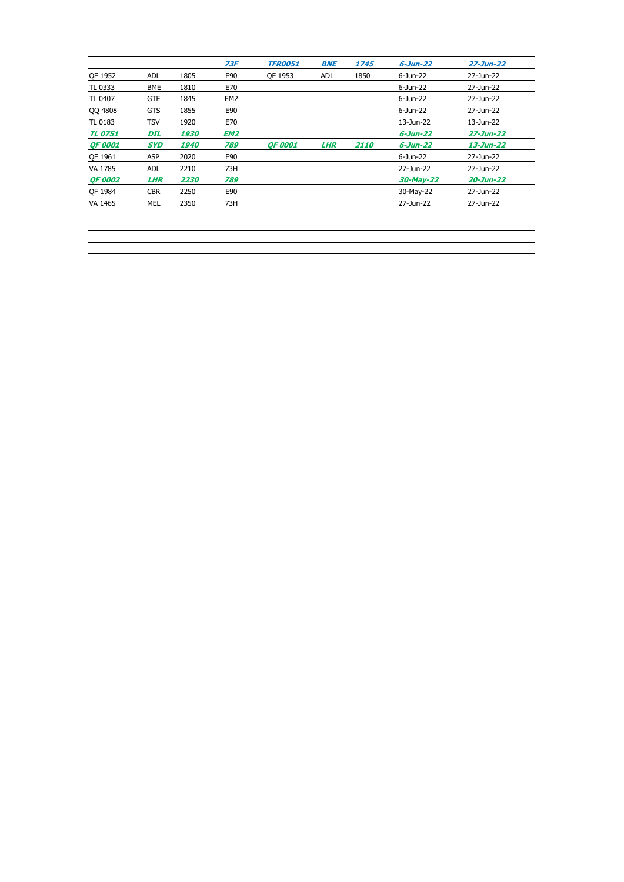|                |            |                    | 73F             | <b>TFR0051</b> | <b>BNE</b> | 1745               | $6 - Jun - 22$ | 27-Jun-22 |
|----------------|------------|--------------------|-----------------|----------------|------------|--------------------|----------------|-----------|
| QF 1952        | <b>ADL</b> | 1805               | E90             | OF 1953        | <b>ADL</b> | 1850               | 6-Jun-22       | 27-Jun-22 |
| TL 0333        | <b>BME</b> | 1810               | E70             |                |            |                    | 6-Jun-22       | 27-Jun-22 |
| TL 0407        | <b>GTE</b> | 1845               | EM <sub>2</sub> |                |            |                    | 6-Jun-22       | 27-Jun-22 |
| QQ 4808        | <b>GTS</b> | 1855               | E90             |                |            |                    | 6-Jun-22       | 27-Jun-22 |
| TL 0183        | TSV        | 1920               | E70             |                |            |                    | 13-Jun-22      | 13-Jun-22 |
| <b>TL 0751</b> | DIL        | 1930               | EM <sub>2</sub> |                |            |                    | $6 - Jun - 22$ | 27-Jun-22 |
| <b>QF 0001</b> | <b>SYD</b> | <i><b>1940</b></i> | 789             | <b>OF 0001</b> | <b>LHR</b> | <i><b>2110</b></i> | $6 - Jun - 22$ | 13-Jun-22 |
| OF 1961        | <b>ASP</b> | 2020               | E90             |                |            |                    | 6-Jun-22       | 27-Jun-22 |
| VA 1785        | <b>ADL</b> | 2210               | 73H             |                |            |                    | 27-Jun-22      | 27-Jun-22 |
| <b>OF 0002</b> | <b>LHR</b> | 2230               | 789             |                |            |                    | $30$ -May-22   | 20-Jun-22 |
| OF 1984        | <b>CBR</b> | 2250               | E90             |                |            |                    | 30-May-22      | 27-Jun-22 |
| VA 1465        | MEL        | 2350               | 73H             |                |            |                    | 27-Jun-22      | 27-Jun-22 |
|                |            |                    |                 |                |            |                    |                |           |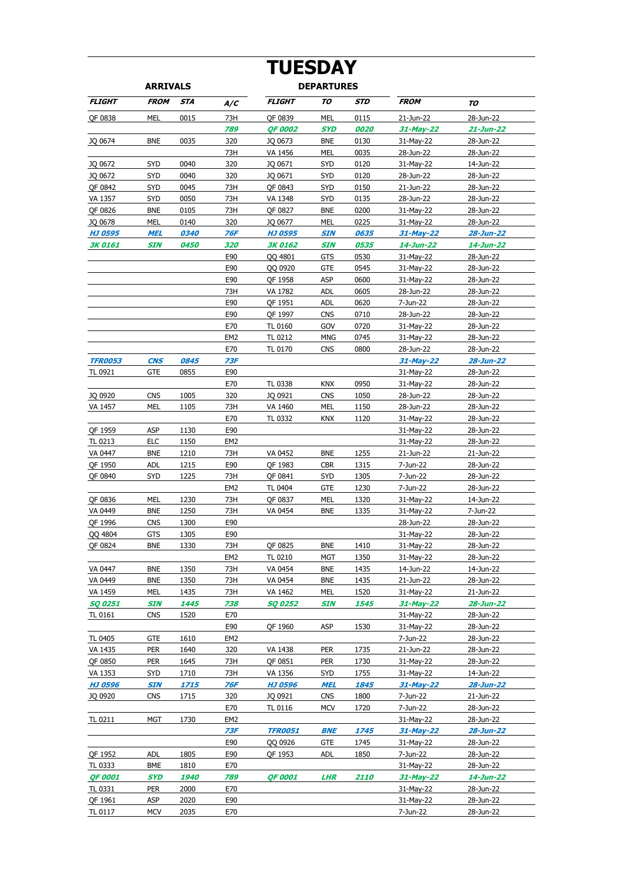# **TUESDAY**

| <b>ARRIVALS</b> |             |                    |                 | <b>DEPARTURES</b> |            |                    |              |           |
|-----------------|-------------|--------------------|-----------------|-------------------|------------|--------------------|--------------|-----------|
| <b>FLIGHT</b>   | <b>FROM</b> | STA                | A/C             | <b>FLIGHT</b>     | TO         | STD                | <b>FROM</b>  | TO        |
| QF 0838         | MEL         | 0015               | 73H             | QF 0839           | MEL        | 0115               | 21-Jun-22    | 28-Jun-22 |
|                 |             |                    | 789             | <b>QF 0002</b>    | <b>SYD</b> | 0020               | 31-May-22    | 21-Jun-22 |
| JQ 0674         | <b>BNE</b>  | 0035               | 320             | JQ 0673           | <b>BNE</b> | 0130               | 31-May-22    | 28-Jun-22 |
|                 |             |                    | 73H             | VA 1456           | MEL        | 0035               | 28-Jun-22    | 28-Jun-22 |
| JQ 0672         | <b>SYD</b>  | 0040               | 320             | JQ 0671           | <b>SYD</b> | 0120               | 31-May-22    | 14-Jun-22 |
| JQ 0672         | <b>SYD</b>  | 0040               | 320             | JQ 0671           | <b>SYD</b> | 0120               | 28-Jun-22    | 28-Jun-22 |
| QF 0842         | <b>SYD</b>  | 0045               | 73H             | OF 0843           | SYD        | 0150               | 21-Jun-22    | 28-Jun-22 |
| VA 1357         | <b>SYD</b>  | 0050               | 73H             | VA 1348           | SYD        | 0135               | 28-Jun-22    | 28-Jun-22 |
| OF 0826         | <b>BNE</b>  | 0105               | 73H             | QF 0827           | <b>BNE</b> | 0200               | 31-May-22    | 28-Jun-22 |
| JQ 0678         | MEL         | 0140               | 320             | JQ 0677           | MEL        | 0225               | 31-May-22    | 28-Jun-22 |
| <b>HJ 0595</b>  | MEL         | <i><b>0340</b></i> | 76F             | HJ 0595           | SIN        | 0635               | 31-May-22    | 28-Jun-22 |
| <b>3K 0161</b>  | SIN         | <i><b>0450</b></i> | 320             | 3K 0162           | SIN        | <i><b>0535</b></i> | 14-Jun-22    | 14-Jun-22 |
|                 |             |                    | E90             | QQ 4801           | GTS        | 0530               | 31-May-22    | 28-Jun-22 |
|                 |             |                    | E90             | QQ 0920           | <b>GTE</b> | 0545               | 31-May-22    | 28-Jun-22 |
|                 |             |                    | E90             | QF 1958           | ASP        | 0600               | 31-May-22    | 28-Jun-22 |
|                 |             |                    | 73H             | VA 1782           | <b>ADL</b> | 0605               | 28-Jun-22    | 28-Jun-22 |
|                 |             |                    | E90             | QF 1951           | <b>ADL</b> | 0620               | 7-Jun-22     | 28-Jun-22 |
|                 |             |                    | E90             | QF 1997           | <b>CNS</b> | 0710               | 28-Jun-22    | 28-Jun-22 |
|                 |             |                    | E70             | TL 0160           | GOV        | 0720               | 31-May-22    | 28-Jun-22 |
|                 |             |                    | EM <sub>2</sub> | TL 0212           | <b>MNG</b> | 0745               | 31-May-22    | 28-Jun-22 |
|                 |             |                    | E70             | TL 0170           | <b>CNS</b> | 0800               | 28-Jun-22    | 28-Jun-22 |
| <b>TFR0053</b>  | <b>CNS</b>  | 0845               | 73F             |                   |            |                    | $31$ -May-22 | 28-Jun-22 |
| TL 0921         | GTE         | 0855               | E90             |                   |            |                    | 31-May-22    | 28-Jun-22 |
|                 |             |                    | E70             | TL 0338           | <b>KNX</b> | 0950               | 31-May-22    | 28-Jun-22 |
| JQ 0920         | <b>CNS</b>  | 1005               | 320             | JQ 0921           | <b>CNS</b> | 1050               | 28-Jun-22    | 28-Jun-22 |
| VA 1457         | MEL         | 1105               | 73H             | VA 1460           | MEL        | 1150               | 28-Jun-22    | 28-Jun-22 |
|                 |             |                    | E70             | TL 0332           | <b>KNX</b> | 1120               | 31-May-22    | 28-Jun-22 |
| QF 1959         | <b>ASP</b>  | 1130               | E90             |                   |            |                    | 31-May-22    | 28-Jun-22 |
| TL 0213         | <b>ELC</b>  | 1150               | EM <sub>2</sub> |                   |            |                    | 31-May-22    | 28-Jun-22 |
| VA 0447         | <b>BNE</b>  | 1210               | 73H             | VA 0452           | <b>BNE</b> | 1255               | 21-Jun-22    | 21-Jun-22 |
| QF 1950         | <b>ADL</b>  | 1215               | E90             | QF 1983           | <b>CBR</b> | 1315               | 7-Jun-22     | 28-Jun-22 |
| <b>OF 0840</b>  | SYD         | 1225               | 73H             | QF 0841           | SYD        | 1305               | 7-Jun-22     | 28-Jun-22 |
|                 |             |                    | EM <sub>2</sub> | TL 0404           | <b>GTE</b> | 1230               | 7-Jun-22     | 28-Jun-22 |
| QF 0836         | MEL         | 1230               | 73H             | QF 0837           | MEL        | 1320               | 31-May-22    | 14-Jun-22 |
| VA 0449         | <b>BNE</b>  | 1250               | 73H             | VA 0454           | <b>BNE</b> | 1335               | 31-May-22    | 7-Jun-22  |
| QF 1996         | <b>CNS</b>  | 1300               | E90             |                   |            |                    | 28-Jun-22    | 28-Jun-22 |
| QQ 4804         | <b>GTS</b>  | 1305               | E90             |                   |            |                    | 31-May-22    | 28-Jun-22 |
| QF 0824         | <b>BNE</b>  | 1330               | 73H             | OF 0825           | <b>BNE</b> | 1410               | 31-May-22    | 28-Jun-22 |
|                 |             |                    | EM <sub>2</sub> | TL 0210           | <b>MGT</b> | 1350               | 31-May-22    | 28-Jun-22 |
| VA 0447         | <b>BNE</b>  | 1350               | 73H             | VA 0454           | <b>BNE</b> | 1435               | 14-Jun-22    | 14-Jun-22 |
| VA 0449         | <b>BNE</b>  | 1350               | 73H             | VA 0454           | <b>BNE</b> | 1435               | 21-Jun-22    | 28-Jun-22 |
| VA 1459         | MEL         | 1435               | 73H             | VA 1462           | MEL        | 1520               | 31-May-22    | 21-Jun-22 |
| <b>SQ 0251</b>  | <b>SIN</b>  | 1445               | 738             | <b>SQ 0252</b>    | <b>SIN</b> | 1545               | 31-May-22    | 28-Jun-22 |
| <b>TL 0161</b>  | <b>CNS</b>  | 1520               | E70             |                   |            |                    | 31-May-22    | 28-Jun-22 |
|                 |             |                    | E90             | QF 1960           | ASP        | 1530               | 31-May-22    | 28-Jun-22 |
| TL 0405         | <b>GTE</b>  | 1610               | EM <sub>2</sub> |                   |            |                    | 7-Jun-22     | 28-Jun-22 |
| VA 1435         | <b>PER</b>  | 1640               | 320             | VA 1438           | <b>PER</b> | 1735               | 21-Jun-22    | 28-Jun-22 |
| QF 0850         | <b>PER</b>  | 1645               | 73H             | QF 0851           | <b>PER</b> | 1730               | 31-May-22    | 28-Jun-22 |
| VA 1353         | SYD         | 1710               | 73H             | VA 1356           | SYD        | 1755               | 31-May-22    | 14-Jun-22 |
| <b>HJ 0596</b>  | SIN         | 1715               | 76F             | <b>HJ 0596</b>    | <b>MEL</b> | 1845               | 31-May-22    | 28-Jun-22 |
| JQ 0920         | <b>CNS</b>  | 1715               | 320             | JQ 0921           | <b>CNS</b> | 1800               | 7-Jun-22     | 21-Jun-22 |
|                 |             |                    | E70             | TL 0116           | <b>MCV</b> | 1720               | 7-Jun-22     | 28-Jun-22 |
|                 |             | 1730               | EM <sub>2</sub> |                   |            |                    |              |           |
| TL 0211         | MGT         |                    |                 |                   |            |                    | 31-May-22    | 28-Jun-22 |
|                 |             |                    | 73F             | <b>TFR0051</b>    | <b>BNE</b> | 1745               | 31-May-22    | 28-Jun-22 |
|                 |             |                    | E90             | QQ 0926           | <b>GTE</b> | 1745               | 31-May-22    | 28-Jun-22 |
| QF 1952         | ADL         | 1805               | E90             | QF 1953           | ADL        | 1850               | 7-Jun-22     | 28-Jun-22 |
| TL 0333         | <b>BME</b>  | 1810               | E70             |                   |            |                    | 31-May-22    | 28-Jun-22 |
| <b>QF 0001</b>  | SYD         | <i><b>1940</b></i> | 789             | <b>QF 0001</b>    | <b>LHR</b> | <i><b>2110</b></i> | 31-May-22    | 14-Jun-22 |
| TL 0331         | <b>PER</b>  | 2000               | E70             |                   |            |                    | 31-May-22    | 28-Jun-22 |
| QF 1961         | ASP         | 2020               | E90             |                   |            |                    | 31-May-22    | 28-Jun-22 |
| TL 0117         | <b>MCV</b>  | 2035               | E70             |                   |            |                    | 7-Jun-22     | 28-Jun-22 |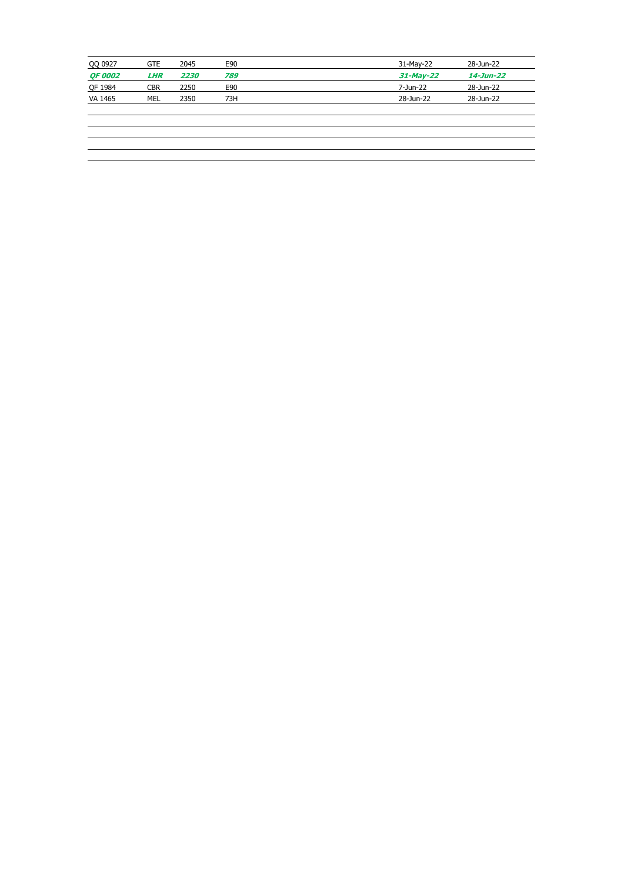| QQ 0927        | <b>GTE</b> | 2045 | E90 | 31-May-22    | 28-Jun-22 |
|----------------|------------|------|-----|--------------|-----------|
| <b>QF 0002</b> | <b>LHR</b> | 2230 | 789 | $31$ -May-22 | 14-Jun-22 |
| QF 1984        | <b>CBR</b> | 2250 | E90 | 7-Jun-22     | 28-Jun-22 |
| VA 1465        | MEL        | 2350 | 73H | 28-Jun-22    | 28-Jun-22 |
|                |            |      |     |              |           |
|                |            |      |     |              |           |
|                |            |      |     |              |           |
|                |            |      |     |              |           |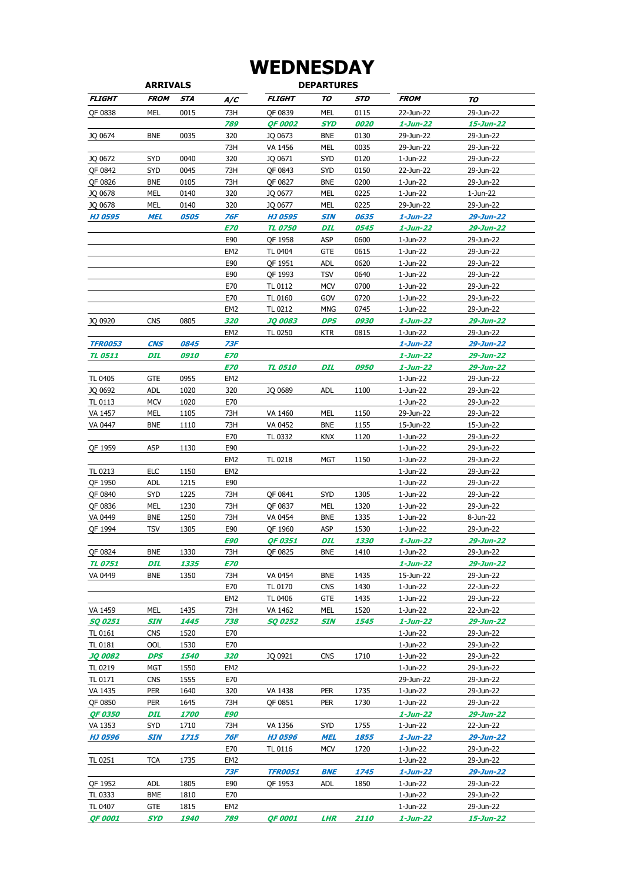## **WEDNESDAY**

| <b>ARRIVALS</b> |             |                    |                   | <b>DEPARTURES</b>     |            |                    |                      |                        |
|-----------------|-------------|--------------------|-------------------|-----------------------|------------|--------------------|----------------------|------------------------|
| <b>FLIGHT</b>   | <b>FROM</b> | STA                | A/C               | <b>FLIGHT</b>         | TO         | STD                | <b>FROM</b>          | TO                     |
| QF 0838         | <b>MEL</b>  | 0015               | 73H               | QF 0839               | <b>MEL</b> | 0115               | 22-Jun-22            | 29-Jun-22              |
|                 |             |                    | 789               | <b>QF 0002</b>        | SYD        | 0020               | $1 - Jun-22$         | 15-Jun-22              |
| JQ 0674         | <b>BNE</b>  | 0035               | 320               | JQ 0673               | BNE        | 0130               | 29-Jun-22            | 29-Jun-22              |
|                 |             |                    | 73H               | VA 1456               | MEL        | 0035               | 29-Jun-22            | 29-Jun-22              |
| JQ 0672         | <b>SYD</b>  | 0040               | 320               | JQ 0671               | SYD        | 0120               | 1-Jun-22             | 29-Jun-22              |
| QF 0842         | SYD         | 0045               | 73H               | QF 0843               | SYD        | 0150               | 22-Jun-22            | 29-Jun-22              |
| QF 0826         | <b>BNE</b>  | 0105               | 73H               | QF 0827               | <b>BNE</b> | 0200               | 1-Jun-22             | 29-Jun-22              |
| JQ 0678         | MEL         | 0140               | 320               | JQ 0677               | MEL        | 0225               | 1-Jun-22             | 1-Jun-22               |
| JQ 0678         | MEL         | 0140               | 320               | JQ 0677               | MEL        | 0225               | 29-Jun-22            | 29-Jun-22              |
| <b>HJ 0595</b>  | <b>MEL</b>  | <i><b>0505</b></i> | 76F               | <b>HJ 0595</b>        | <b>SIN</b> | 0635               | $1$ -Jun-22          | 29-Jun-22              |
|                 |             |                    | <b>E70</b>        | <b>TL 0750</b>        | DIL        | <i><b>0545</b></i> | $1 - Jun-22$         | 29-Jun-22              |
|                 |             |                    | E90               | QF 1958               | ASP        | 0600               | 1-Jun-22             | 29-Jun-22              |
|                 |             |                    | EM2               | TL 0404               | GTE        | 0615               | 1-Jun-22             | 29-Jun-22              |
|                 |             |                    | E90               | QF 1951               | ADL        | 0620               | 1-Jun-22             | 29-Jun-22              |
|                 |             |                    | E90               | QF 1993               | <b>TSV</b> | 0640               | 1-Jun-22             | 29-Jun-22              |
|                 |             |                    | E70               | TL 0112               | MCV        | 0700               | 1-Jun-22             | 29-Jun-22              |
|                 |             |                    | E70               | TL 0160               | GOV        | 0720               | 1-Jun-22             | 29-Jun-22              |
|                 |             |                    | EM <sub>2</sub>   | TL 0212               | <b>MNG</b> | 0745               | 1-Jun-22             | 29-Jun-22              |
| JQ 0920         | <b>CNS</b>  | 0805               | 320               | <b>JO 0083</b>        | DPS        | <i><b>0930</b></i> | 1-Jun-22             | 29-Jun-22              |
|                 |             |                    | EM <sub>2</sub>   | TL 0250               | ktr        | 0815               | 1-Jun-22             | 29-Jun-22              |
| <b>TFR0053</b>  | <b>CNS</b>  | 0845               | 73F               |                       |            |                    | $1 - Jun-22$         | 29-Jun-22              |
| <b>TL 0511</b>  | DIL         | <i><b>0910</b></i> | <i><b>E70</b></i> |                       |            |                    | 1-Jun-22             | 29-Jun-22              |
|                 |             |                    | <b>E70</b>        | <b>TL 0510</b>        | DIL        | <i><b>0950</b></i> | 1-Jun-22             | 29-Jun-22              |
| TL 0405         | <b>GTE</b>  | 0955               | EM2               |                       |            |                    | 1-Jun-22             | 29-Jun-22              |
| JQ 0692         | <b>ADL</b>  | 1020               | 320               | JQ 0689               | <b>ADL</b> | 1100               | 1-Jun-22             | 29-Jun-22              |
| TL 0113         | <b>MCV</b>  | 1020               | E70               |                       |            |                    | 1-Jun-22             | 29-Jun-22              |
| VA 1457         | MEL         | 1105               | 73H               | VA 1460               | MEL        | 1150               | 29-Jun-22            | 29-Jun-22              |
| VA 0447         | <b>BNE</b>  | 1110               | 73H               | VA 0452               | BNE        | 1155               | 15-Jun-22            | 15-Jun-22              |
| QF 1959         | <b>ASP</b>  | 1130               | E70<br>E90        | TL 0332               | KNX        | 1120               | 1-Jun-22<br>1-Jun-22 | 29-Jun-22              |
|                 |             |                    | EM2               | TL 0218               | MGT        | 1150               | 1-Jun-22             | 29-Jun-22<br>29-Jun-22 |
| TL 0213         | <b>ELC</b>  | 1150               | EM <sub>2</sub>   |                       |            |                    | 1-Jun-22             | 29-Jun-22              |
| QF 1950         | <b>ADL</b>  | 1215               | E90               |                       |            |                    | 1-Jun-22             | 29-Jun-22              |
| OF 0840         | <b>SYD</b>  | 1225               | 73H               | QF 0841               | SYD        | 1305               | 1-Jun-22             | 29-Jun-22              |
| QF 0836         | MEL         | 1230               | 73H               | QF 0837               | MEL        | 1320               | 1-Jun-22             | 29-Jun-22              |
| VA 0449         | <b>BNE</b>  | 1250               | 73H               | VA 0454               | BNE        | 1335               | 1-Jun-22             | 8-Jun-22               |
| OF 1994         | <b>TSV</b>  | 1305               | E90               | QF 1960               | ASP        | 1530               | 1-Jun-22             | 29-Jun-22              |
|                 |             |                    | E90               | QF 0351               | DIL        | <i><b>1330</b></i> | 1-Jun-22             | 29-Jun-22              |
| QF 0824         | <b>BNE</b>  | 1330               | 73H               | QF 0825               | BNE        | 1410               | 1-Jun-22             | 29-Jun-22              |
| <b>TL 0751</b>  | <b>DIL</b>  | 1335               | <i><b>E70</b></i> |                       |            |                    | 1-Jun-22             | 29-Jun-22              |
| VA 0449         | BNE         | 1350               | 73H               | VA 0454               | BNE        | 1435               | 15-Jun-22            | 29-Jun-22              |
|                 |             |                    | E70               | TL 0170               | <b>CNS</b> | 1430               | 1-Jun-22             | 22-Jun-22              |
|                 |             |                    | EM2               | TL 0406               | GTE        | 1435               | 1-Jun-22             | 29-Jun-22              |
| VA 1459         | MEL         | 1435               | 73H               | VA 1462               | MEL        | 1520               | 1-Jun-22             | 22-Jun-22              |
| <b>SQ 0251</b>  | <b>SIN</b>  | 1445               | 738               | <i><b>SQ 0252</b></i> | SIN        | 1545               | 1-Jun-22             | 29-Jun-22              |
| TL 0161         | <b>CNS</b>  | 1520               | E70               |                       |            |                    | 1-Jun-22             | 29-Jun-22              |
| TL 0181         | OOL         | 1530               | E70               |                       |            |                    | 1-Jun-22             | 29-Jun-22              |
| <b>JQ 0082</b>  | <b>DPS</b>  | <i><b>1540</b></i> | 320               | JQ 0921               | <b>CNS</b> | 1710               | 1-Jun-22             | 29-Jun-22              |
| TL 0219         | MGT         | 1550               | EM2               |                       |            |                    | 1-Jun-22             | 29-Jun-22              |
| TL 0171         | <b>CNS</b>  | 1555               | E70               |                       |            |                    | 29-Jun-22            | 29-Jun-22              |
| VA 1435         | <b>PER</b>  | 1640               | 320               | VA 1438               | PER        | 1735               | 1-Jun-22             | 29-Jun-22              |
| QF 0850         | <b>PER</b>  | 1645               | 73H               | QF 0851               | PER        | 1730               | 1-Jun-22             | 29-Jun-22              |
| <b>QF 0350</b>  | DIL         | <i><b>1700</b></i> | E90               |                       |            |                    | $1 - Jun-22$         | 29-Jun-22              |
| VA 1353         | SYD         | 1710               | 73H               | VA 1356               | SYD        | 1755               | 1-Jun-22             | 22-Jun-22              |
| <b>HJ 0596</b>  | SIN         | 1715               | 76F               | <b>HJ 0596</b>        | <b>MEL</b> | 1855               | 1-Jun-22             | 29-Jun-22              |
|                 |             |                    | E70               | TL 0116               | <b>MCV</b> | 1720               | 1-Jun-22             | 29-Jun-22              |
| TL 0251         | <b>TCA</b>  | 1735               | EM2               |                       |            |                    | 1-Jun-22             | 29-Jun-22              |
|                 |             |                    | 73F               | <i><b>TFR0051</b></i> | <b>BNE</b> | 1745               | $1 - Jun-22$         | 29-Jun-22              |
| QF 1952         | <b>ADL</b>  | 1805               | E90               | QF 1953               | adl        | 1850               | 1-Jun-22             | 29-Jun-22              |
| TL 0333         | BME         | 1810               | E70               |                       |            |                    | 1-Jun-22             | 29-Jun-22              |
| TL 0407         | GTE         | 1815               | EM2               |                       |            |                    | 1-Jun-22             | 29-Jun-22              |
| <b>OF 0001</b>  | SYD         | 1940               | 789               | <i><b>OF 0001</b></i> | LHR        | <i><b>2110</b></i> | $1 - Jun - 22$       | 15-Jun-22              |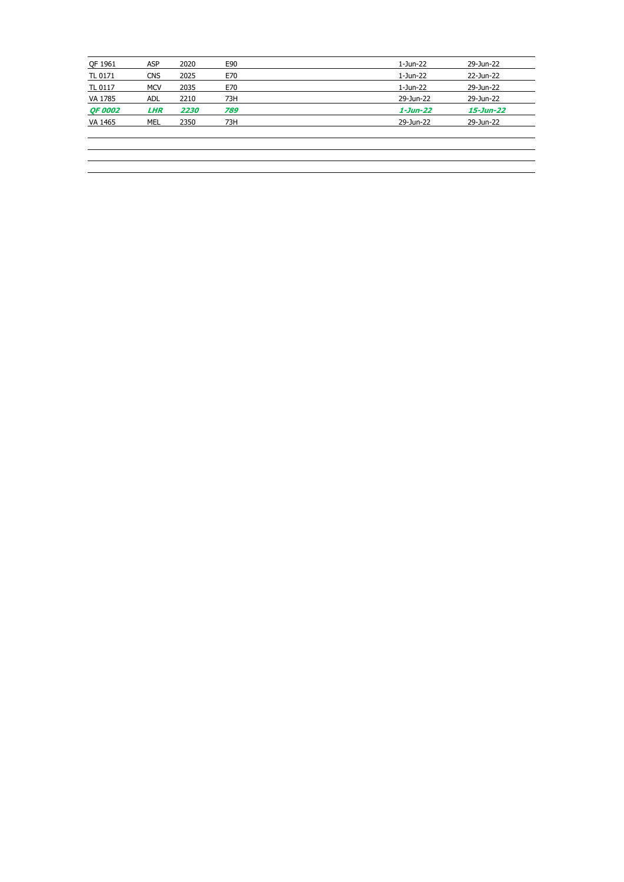| QF 1961        | <b>ASP</b> | 2020 | E90 | 1-Jun-22    | 29-Jun-22       |
|----------------|------------|------|-----|-------------|-----------------|
|                |            |      |     |             |                 |
| TL 0171        | <b>CNS</b> | 2025 | E70 | 1-Jun-22    | 22-Jun-22       |
| TL 0117        | <b>MCV</b> | 2035 | E70 | 1-Jun-22    | 29-Jun-22       |
| VA 1785        | <b>ADL</b> | 2210 | 73H | 29-Jun-22   | 29-Jun-22       |
| <b>QF 0002</b> | <b>LHR</b> | 2230 | 789 | $1$ -Jun-22 | $15 - Jun - 22$ |
| VA 1465        | MEL        | 2350 | 73H | 29-Jun-22   | 29-Jun-22       |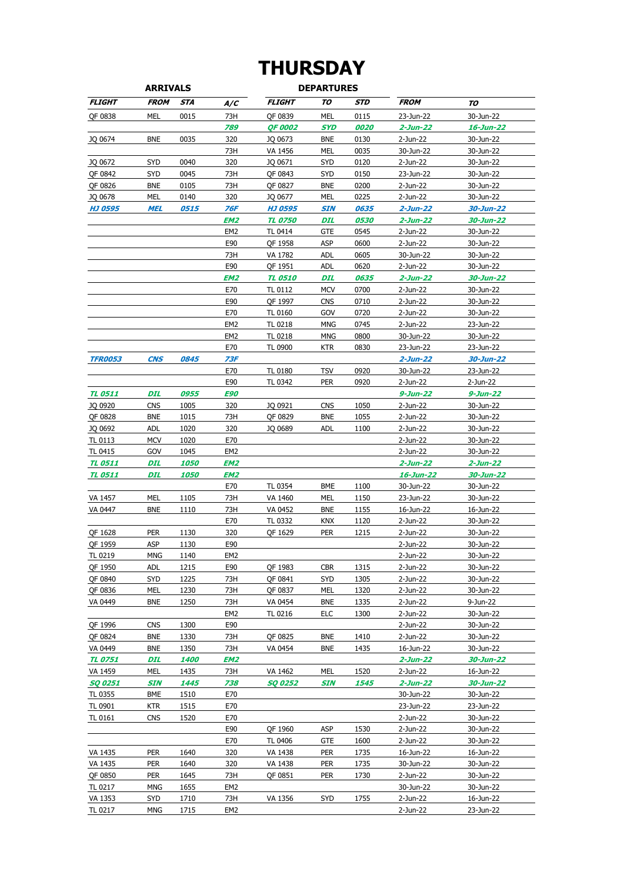## **THURSDAY**

| <b>ARRIVALS</b>           |                          |                            |                        |                | <b>DEPARTURES</b> |      |                         |                        |
|---------------------------|--------------------------|----------------------------|------------------------|----------------|-------------------|------|-------------------------|------------------------|
| <b>FLIGHT</b>             | <b>FROM</b>              | <b>STA</b>                 | A/C                    | <b>FLIGHT</b>  | TO                | STD  | <b>FROM</b>             | TO                     |
| QF 0838                   | MEL                      | 0015                       | 73H                    | OF 0839        | MEL               | 0115 | 23-Jun-22               | 30-Jun-22              |
|                           |                          |                            | 789                    | <b>QF 0002</b> | <b>SYD</b>        | 0020 | 2-Jun-22                | 16-Jun-22              |
| JQ 0674                   | <b>BNE</b>               | 0035                       | 320                    | JQ 0673        | <b>BNE</b>        | 0130 | 2-Jun-22                | 30-Jun-22              |
|                           |                          |                            | 73H                    | VA 1456        | MEL               | 0035 | 30-Jun-22               | 30-Jun-22              |
| JQ 0672                   | SYD                      | 0040                       | 320                    | JQ 0671        | <b>SYD</b>        | 0120 | 2-Jun-22                | 30-Jun-22              |
| QF 0842                   | <b>SYD</b>               | 0045                       | 73H                    | QF 0843        | SYD               | 0150 | 23-Jun-22               | 30-Jun-22              |
| QF 0826                   | <b>BNE</b>               | 0105                       | 73H                    | QF 0827        | <b>BNE</b>        | 0200 | 2-Jun-22                | 30-Jun-22              |
| JQ 0678                   | <b>MEL</b>               | 0140                       | 320                    | JQ 0677        | <b>MEL</b>        | 0225 | 2-Jun-22                | 30-Jun-22              |
| <b>HJ 0595</b>            | <b>MEL</b>               | 0515                       | 76F                    | <b>HJ 0595</b> | <b>SIN</b>        | 0635 | $2 - Jun - 22$          | 30-Jun-22              |
|                           |                          |                            | EM2                    | <b>TL 0750</b> | DIL               | 0530 | 2-Jun-22                | 30-Jun-22              |
|                           |                          |                            | EM2                    | TL 0414        | GTE               | 0545 | 2-Jun-22                | 30-Jun-22              |
|                           |                          |                            | E90                    | QF 1958        | ASP               | 0600 | 2-Jun-22                | 30-Jun-22              |
|                           |                          |                            | 73H                    | VA 1782        | adl               | 0605 | 30-Jun-22               | 30-Jun-22              |
|                           |                          |                            | E90                    | QF 1951        | <b>ADL</b>        | 0620 | 2-Jun-22                | 30-Jun-22              |
|                           |                          |                            | EM <sub>2</sub>        | <b>TL 0510</b> | DIL               | 0635 | 2-Jun-22                | 30-Jun-22              |
|                           |                          |                            | E70                    | TL 0112        | <b>MCV</b>        | 0700 | 2-Jun-22                | 30-Jun-22              |
|                           |                          |                            | E90                    | QF 1997        | <b>CNS</b>        | 0710 | 2-Jun-22                | 30-Jun-22              |
|                           |                          |                            | E70                    | TL 0160        | GOV               | 0720 | 2-Jun-22                | 30-Jun-22              |
|                           |                          |                            | EM2                    | TL 0218        | MNG               | 0745 | 2-Jun-22                | 23-Jun-22              |
|                           |                          |                            | EM <sub>2</sub>        | TL 0218        | MNG               | 0800 | 30-Jun-22               | 30-Jun-22              |
|                           |                          |                            | E70                    | TL 0900        | KTR               | 0830 | 23-Jun-22               | 23-Jun-22              |
| <b>TFR0053</b>            | <b>CNS</b>               | 0845                       | 73F                    |                |                   |      | $2 - Jun - 22$          | 30-Jun-22              |
|                           |                          |                            | E70                    | TL 0180        | TSV               | 0920 | 30-Jun-22               | 23-Jun-22              |
|                           |                          |                            | E90                    | TL 0342        | <b>PER</b>        | 0920 | 2-Jun-22                | 2-Jun-22               |
| <b>TL 0511</b>            | DIL                      | 0955                       | E90                    |                |                   |      | 9-Jun-22                | 9-Jun-22               |
| JQ 0920                   | <b>CNS</b>               | 1005                       | 320                    | JQ 0921        | <b>CNS</b>        | 1050 | 2-Jun-22                | 30-Jun-22              |
| QF 0828                   | <b>BNE</b>               | 1015                       | 73H                    | QF 0829        | <b>BNE</b>        | 1055 | 2-Jun-22                | 30-Jun-22              |
| JQ 0692                   | <b>ADL</b>               | 1020                       | 320                    | JQ 0689        | adl               | 1100 | 2-Jun-22                | 30-Jun-22              |
| TL 0113                   | <b>MCV</b>               | 1020                       | E70                    |                |                   |      | 2-Jun-22                | 30-Jun-22              |
| TL 0415<br><b>TL 0511</b> | GOV<br>DIL               | 1045<br><i><b>1050</b></i> | EM2<br>EM2             |                |                   |      | 2-Jun-22<br>$2$ -Jun-22 | 30-Jun-22<br>2-Jun-22  |
| <b>TL 0511</b>            | DIL                      | <i><b>1050</b></i>         | EM2                    |                |                   |      | 16-Jun-22               | 30-Jun-22              |
|                           |                          |                            | E70                    | TL 0354        | <b>BME</b>        | 1100 | 30-Jun-22               | 30-Jun-22              |
| VA 1457                   | MEL                      | 1105                       | 73H                    | VA 1460        | MEL               | 1150 | 23-Jun-22               | 30-Jun-22              |
| VA 0447                   | <b>BNE</b>               | 1110                       | 73H                    | VA 0452        | <b>BNE</b>        | 1155 | 16-Jun-22               | 16-Jun-22              |
|                           |                          |                            | E70                    | TL 0332        | <b>KNX</b>        | 1120 | 2-Jun-22                | 30-Jun-22              |
| OF 1628                   | <b>PER</b>               | 1130                       | 320                    | OF 1629        | <b>PER</b>        | 1215 | 2-Jun-22                | 30-Jun-22              |
| QF 1959                   | ASP                      | 1130                       | E90                    |                |                   |      | 2-Jun-22                | 30-Jun-22              |
| TL 0219                   | <b>MNG</b>               | 1140                       | EM <sub>2</sub>        |                |                   |      | 2-Jun-22                | 30-Jun-22              |
| QF 1950                   | <b>ADL</b>               | 1215                       | E90                    | QF 1983        | <b>CBR</b>        | 1315 | 2-Jun-22                | 30-Jun-22              |
| QF 0840                   | <b>SYD</b>               | 1225                       | 73H                    | QF 0841        | <b>SYD</b>        | 1305 | 2-Jun-22                | 30-Jun-22              |
| QF 0836                   | MEL                      | 1230                       | 73H                    | QF 0837        | MEL               | 1320 | 2-Jun-22                | 30-Jun-22              |
| VA 0449                   | <b>BNE</b>               | 1250                       | 73H                    | VA 0454        | <b>BNE</b>        | 1335 | 2-Jun-22                | 9-Jun-22               |
|                           |                          |                            | EM2                    | TL 0216        | ELC               | 1300 | 2-Jun-22                | 30-Jun-22              |
| QF 1996                   | <b>CNS</b>               | 1300                       | E90                    |                |                   |      | $2-Jun-22$              | 30-Jun-22              |
| QF 0824                   | <b>BNE</b>               | 1330                       | 73H                    | OF 0825        | <b>BNE</b>        | 1410 | 2-Jun-22                | 30-Jun-22              |
| VA 0449                   | <b>BNE</b>               | 1350                       | 73H                    | VA 0454        | <b>BNE</b>        | 1435 | 16-Jun-22               | 30-Jun-22              |
| <b>TL 0751</b>            | DIL                      | 1400                       | EM <sub>2</sub>        |                |                   |      | 2-Jun-22                | 30-Jun-22              |
| VA 1459                   | <b>MEL</b>               | 1435                       | 73H                    | VA 1462        | <b>MEL</b>        | 1520 | 2-Jun-22                | 16-Jun-22              |
| <b>SQ 0251</b>            | SIN                      | 1445                       | 738                    | <b>SQ 0252</b> | SIN               | 1545 | 2-Jun-22                | 30-Jun-22              |
| TL 0355                   | <b>BME</b>               | 1510                       | E70                    |                |                   |      | 30-Jun-22               | 30-Jun-22              |
| TL 0901                   | <b>KTR</b>               | 1515                       | E70                    |                |                   |      | 23-Jun-22               | 23-Jun-22              |
| TL 0161                   | <b>CNS</b>               | 1520                       | E70                    |                |                   |      | 2-Jun-22                | 30-Jun-22              |
|                           |                          |                            | E90                    | QF 1960        | ASP               | 1530 | 2-Jun-22                | 30-Jun-22              |
|                           |                          |                            | E70                    | TL 0406        | GTE               | 1600 | 2-Jun-22                | 30-Jun-22              |
| VA 1435                   | <b>PER</b>               | 1640                       | 320                    | VA 1438        | <b>PER</b>        | 1735 | 16-Jun-22               | 16-Jun-22              |
| VA 1435                   | <b>PER</b>               | 1640                       | 320                    | VA 1438        | <b>PER</b>        | 1735 | 30-Jun-22               | 30-Jun-22              |
| QF 0850                   | <b>PER</b>               | 1645                       | 73H                    | QF 0851        | <b>PER</b>        | 1730 | 2-Jun-22                | 30-Jun-22              |
| TL 0217                   | MNG                      | 1655                       | EM <sub>2</sub>        |                |                   |      | 30-Jun-22               | 30-Jun-22              |
| VA 1353<br>TL 0217        | <b>SYD</b><br><b>MNG</b> | 1710<br>1715               | 73H<br>EM <sub>2</sub> | VA 1356        | <b>SYD</b>        | 1755 | 2-Jun-22<br>2-Jun-22    | 16-Jun-22<br>23-Jun-22 |
|                           |                          |                            |                        |                |                   |      |                         |                        |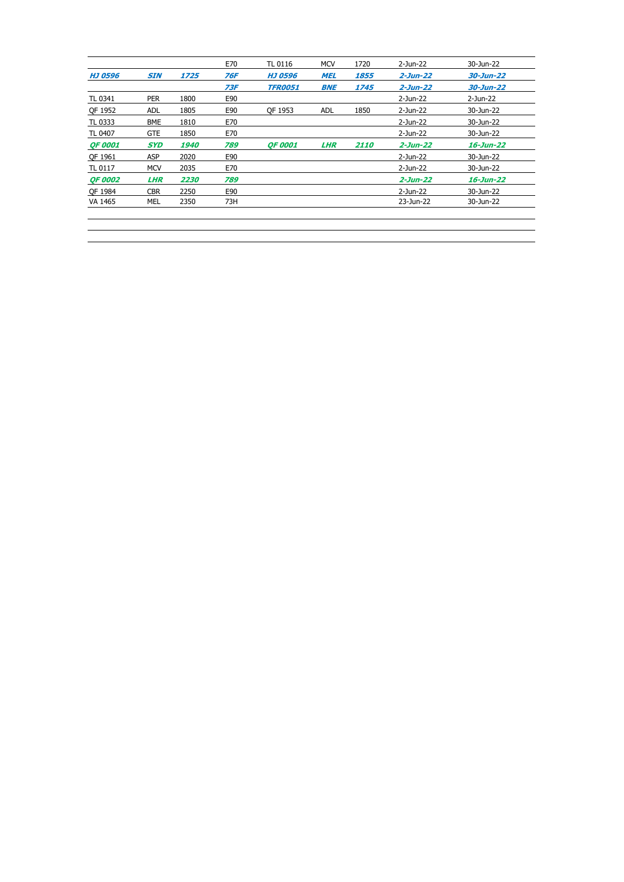|                |            |                    | E70 | TL 0116        | <b>MCV</b> | 1720               | 2-Jun-22       | 30-Jun-22 |  |
|----------------|------------|--------------------|-----|----------------|------------|--------------------|----------------|-----------|--|
| <b>HJ 0596</b> | <b>SIN</b> | 1725               | 76F | <b>HJ 0596</b> | <b>MEL</b> | 1855               | $2 - Jun - 22$ | 30-Jun-22 |  |
|                |            |                    | 73F | <b>TFR0051</b> | <b>BNE</b> | 1745               | $2 - Jun - 22$ | 30-Jun-22 |  |
| TL 0341        | <b>PER</b> | 1800               | E90 |                |            |                    | 2-Jun-22       | 2-Jun-22  |  |
| QF 1952        | <b>ADL</b> | 1805               | E90 | OF 1953        | ADL        | 1850               | 2-Jun-22       | 30-Jun-22 |  |
| TL 0333        | <b>BME</b> | 1810               | E70 |                |            |                    | 2-Jun-22       | 30-Jun-22 |  |
| TL 0407        | <b>GTE</b> | 1850               | E70 |                |            |                    | 2-Jun-22       | 30-Jun-22 |  |
| <b>OF 0001</b> | <b>SYD</b> | <i><b>1940</b></i> | 789 | <b>OF 0001</b> | <b>LHR</b> | <i><b>2110</b></i> | $2 - Jun - 22$ | 16-Jun-22 |  |
| QF 1961        | <b>ASP</b> | 2020               | E90 |                |            |                    | 2-Jun-22       | 30-Jun-22 |  |
| TL 0117        | <b>MCV</b> | 2035               | E70 |                |            |                    | 2-Jun-22       | 30-Jun-22 |  |
|                |            |                    |     |                |            |                    |                |           |  |
| <b>QF 0002</b> | <b>LHR</b> | 2230               | 789 |                |            |                    | $2 - Jun - 22$ | 16-Jun-22 |  |
| OF 1984        | <b>CBR</b> | 2250               | E90 |                |            |                    | 2-Jun-22       | 30-Jun-22 |  |
| VA 1465        | MEL        | 2350               | 73H |                |            |                    | 23-Jun-22      | 30-Jun-22 |  |
|                |            |                    |     |                |            |                    |                |           |  |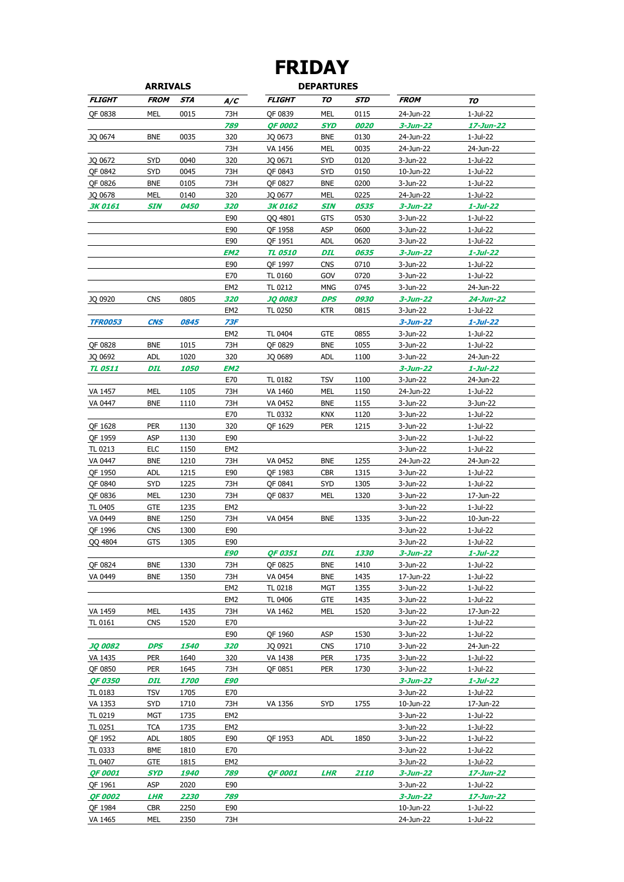### **ARRIVALS DEPARTURES FRIDAY**

|                           | <u>ARRIVALJ</u>          |                    |                 |                       | <i>UEPARI</i> UREJ |                    |                             |                       |
|---------------------------|--------------------------|--------------------|-----------------|-----------------------|--------------------|--------------------|-----------------------------|-----------------------|
| <b>FLIGHT</b>             | <b>FROM</b>              | STA                | A/C             | <i><b>FLIGHT</b></i>  | TO                 | STD                | <b>FROM</b>                 | TO                    |
| QF 0838                   | MEL                      | 0015               | 73H             | QF 0839               | MEL                | 0115               | 24-Jun-22                   | 1-Jul-22              |
|                           |                          |                    | 789             | <b>OF 0002</b>        | <b>SYD</b>         | 0020               | $3 - Jun - 22$              | 17-Jun-22             |
| JQ 0674                   | <b>BNE</b>               | 0035               | 320             | JQ 0673               | <b>BNE</b>         | 0130               | 24-Jun-22                   | 1-Jul-22              |
|                           |                          |                    | 73H             | VA 1456               | MEL                | 0035               | 24-Jun-22                   | 24-Jun-22             |
| JQ 0672                   | SYD                      | 0040               | 320             | JQ 0671               | <b>SYD</b>         | 0120               | 3-Jun-22                    | 1-Jul-22              |
| QF 0842                   | <b>SYD</b>               | 0045               | 73H             | QF 0843               | <b>SYD</b>         | 0150               | 10-Jun-22                   | 1-Jul-22              |
| QF 0826                   | <b>BNE</b>               | 0105               | 73H             | QF 0827               | <b>BNE</b>         | 0200               | 3-Jun-22                    | 1-Jul-22              |
| JQ 0678                   | MEL                      | 0140               | 320             | JQ 0677               | MEL                | 0225               | 24-Jun-22                   | 1-Jul-22              |
| <b>3K 0161</b>            | SIN                      | <i><b>0450</b></i> | 320             | 3K 0162               | <b>SIN</b>         | <i><b>0535</b></i> | 3-Jun-22                    | 1-Jul-22              |
|                           |                          |                    | E90             | QQ 4801               | GTS                | 0530               | 3-Jun-22                    | 1-Jul-22              |
|                           |                          |                    | E90<br>E90      | QF 1958<br>QF 1951    | ASP<br><b>ADL</b>  | 0600<br>0620       | 3-Jun-22<br>3-Jun-22        | 1-Jul-22<br>1-Jul-22  |
|                           |                          |                    | EM2             | <b>TL 0510</b>        | <b>DIL</b>         | 0635               | $3 - Jun - 22$              | 1-Jul-22              |
|                           |                          |                    | E90             | QF 1997               | <b>CNS</b>         | 0710               | 3-Jun-22                    | 1-Jul-22              |
|                           |                          |                    | E70             | TL 0160               | GOV                | 0720               | 3-Jun-22                    | 1-Jul-22              |
|                           |                          |                    | EM <sub>2</sub> | TL 0212               | <b>MNG</b>         | 0745               | 3-Jun-22                    | 24-Jun-22             |
| JQ 0920                   | <b>CNS</b>               | 0805               | 320             | <b>JQ 0083</b>        | <b>DPS</b>         | 0930               | 3-Jun-22                    | 24-Jun-22             |
|                           |                          |                    | EM <sub>2</sub> | TL 0250               | KTR                | 0815               | 3-Jun-22                    | 1-Jul-22              |
| <b>TFR0053</b>            | <b>CNS</b>               | 0845               | 73F             |                       |                    |                    | $3 - Jun - 22$              | $1$ -Jul-22           |
|                           |                          |                    | EM <sub>2</sub> | TL 0404               | GTE                | 0855               | 3-Jun-22                    | 1-Jul-22              |
| QF 0828                   | <b>BNE</b>               | 1015               | 73H             | QF 0829               | <b>BNE</b>         | 1055               | 3-Jun-22                    | 1-Jul-22              |
| JQ 0692                   | <b>ADL</b>               | 1020               | 320             | JQ 0689               | adl                | 1100               | 3-Jun-22                    | 24-Jun-22             |
| <b>TL 0511</b>            | <b>DIL</b>               | <i><b>1050</b></i> | EM2             |                       |                    |                    | 3-Jun-22                    | 1-Jul-22              |
|                           |                          |                    | E70             | TL 0182               | <b>TSV</b>         | 1100               | 3-Jun-22                    | 24-Jun-22             |
| VA 1457                   | MEL                      | 1105               | 73H             | VA 1460               | <b>MEL</b>         | 1150               | 24-Jun-22                   | 1-Jul-22              |
| VA 0447                   | <b>BNE</b>               | 1110               | 73H             | VA 0452               | <b>BNE</b>         | 1155               | 3-Jun-22                    | 3-Jun-22              |
|                           |                          |                    | E70             | TL 0332               | KNX                | 1120               | 3-Jun-22                    | 1-Jul-22              |
| QF 1628                   | <b>PER</b>               | 1130               | 320             | QF 1629               | <b>PER</b>         | 1215               | 3-Jun-22                    | 1-Jul-22              |
| QF 1959                   | ASP                      | 1130               | E90             |                       |                    |                    | 3-Jun-22                    | 1-Jul-22              |
| TL 0213                   | <b>ELC</b>               | 1150               | EM <sub>2</sub> |                       |                    |                    | 3-Jun-22                    | 1-Jul-22              |
| VA 0447                   | <b>BNE</b>               | 1210               | 73H             | VA 0452               | <b>BNE</b>         | 1255               | 24-Jun-22                   | 24-Jun-22             |
| QF 1950                   | <b>ADL</b>               | 1215               | E90             | QF 1983               | <b>CBR</b>         | 1315               | 3-Jun-22                    | 1-Jul-22              |
| QF 0840                   | SYD                      | 1225               | 73H             | QF 0841               | SYD                | 1305               | 3-Jun-22                    | 1-Jul-22              |
| QF 0836                   | MEL                      | 1230               | 73H             | QF 0837               | MEL                | 1320               | 3-Jun-22                    | 17-Jun-22             |
| TL 0405                   | <b>GTE</b>               | 1235               | EM <sub>2</sub> |                       |                    |                    | 3-Jun-22                    | 1-Jul-22              |
| VA 0449<br>QF 1996        | <b>BNE</b><br><b>CNS</b> | 1250<br>1300       | 73H<br>E90      | VA 0454               | <b>BNE</b>         | 1335               | 3-Jun-22<br>3-Jun-22        | 10-Jun-22<br>1-Jul-22 |
| QQ 4804                   | <b>GTS</b>               | 1305               | E90             |                       |                    |                    | 3-Jun-22                    | 1-Jul-22              |
|                           |                          |                    | <b>E90</b>      | <b>OF 0351</b>        | DIL                | <i><b>1330</b></i> | 3-Jun-22                    | $1$ -Jul-22           |
| QF 0824                   | <b>BNE</b>               | 1330               | 73H             | QF 0825               | <b>BNE</b>         | 1410               | 3-Jun-22                    | 1-Jul-22              |
| VA 0449                   | <b>BNE</b>               | 1350               | 73H             | VA 0454               | <b>BNE</b>         | 1435               | 17-Jun-22                   | 1-Jul-22              |
|                           |                          |                    | EM <sub>2</sub> | TL 0218               | MGT                | 1355               | 3-Jun-22                    | 1-Jul-22              |
|                           |                          |                    | EM <sub>2</sub> | TL 0406               | GTE                | 1435               | 3-Jun-22                    | 1-Jul-22              |
| VA 1459                   | MEL                      | 1435               | 73H             | VA 1462               | MEL                | 1520               | 3-Jun-22                    | 17-Jun-22             |
| TL 0161                   | <b>CNS</b>               | 1520               | E70             |                       |                    |                    | 3-Jun-22                    | 1-Jul-22              |
|                           |                          |                    | E90             | QF 1960               | ASP                | 1530               | 3-Jun-22                    | 1-Jul-22              |
| <b>JQ 0082</b>            | <b>DPS</b>               | <i><b>1540</b></i> | 320             | JQ 0921               | <b>CNS</b>         | 1710               | 3-Jun-22                    | 24-Jun-22             |
| VA 1435                   | <b>PER</b>               | 1640               | 320             | VA 1438               | <b>PER</b>         | 1735               | 3-Jun-22                    | 1-Jul-22              |
| QF 0850                   | <b>PER</b>               | 1645               | 73H             | QF 0851               | <b>PER</b>         | 1730               | 3-Jun-22                    | 1-Jul-22              |
| <b>QF 0350</b>            | DIL                      | <i><b>1700</b></i> | <b>E90</b>      |                       |                    |                    | 3-Jun-22                    | 1-Jul-22              |
| TL 0183                   | TSV                      | 1705               | E70             |                       |                    |                    | 3-Jun-22                    | 1-Jul-22              |
| VA 1353                   | SYD                      | 1710               | 73H             | VA 1356               | SYD                | 1755               | 10-Jun-22                   | 17-Jun-22             |
| TL 0219                   | MGT                      | 1735               | EM <sub>2</sub> |                       |                    |                    | 3-Jun-22                    | 1-Jul-22              |
| TL 0251                   | <b>TCA</b>               | 1735               | EM <sub>2</sub> |                       |                    |                    | 3-Jun-22                    | 1-Jul-22              |
| QF 1952                   | <b>ADL</b>               | 1805               | E90             | QF 1953               | adl                | 1850               | 3-Jun-22                    | 1-Jul-22              |
| TL 0333                   | <b>BME</b>               | 1810               | E70             |                       |                    |                    | 3-Jun-22                    | 1-Jul-22              |
| TL 0407                   | GTE                      | 1815               | EM <sub>2</sub> |                       |                    |                    | 3-Jun-22                    | 1-Jul-22              |
| <b>QF 0001</b>            | SYD                      | <i><b>1940</b></i> | 789             | <i><b>QF 0001</b></i> | <b>LHR</b>         | <i><b>2110</b></i> | 3-Jun-22                    | 17-Jun-22             |
| QF 1961<br><b>QF 0002</b> | ASP<br><b>LHR</b>        | 2020<br>2230       | E90<br>789      |                       |                    |                    | 3-Jun-22                    | 1-Jul-22              |
| QF 1984                   | <b>CBR</b>               | 2250               | E90             |                       |                    |                    | $3 - Jun - 22$<br>10-Jun-22 | 17-Jun-22<br>1-Jul-22 |
| VA 1465                   | MEL                      | 2350               | 73H             |                       |                    |                    | 24-Jun-22                   | 1-Jul-22              |
|                           |                          |                    |                 |                       |                    |                    |                             |                       |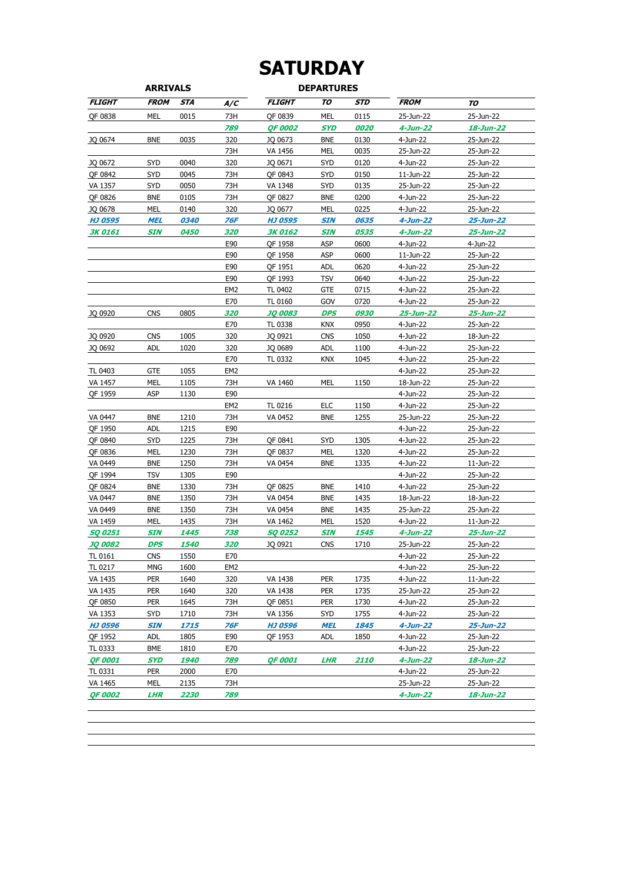## **SATURDAY**

| <b>ARRIVALS</b> |             |                    |                 |                | <b>DEPARTURES</b> |      |                |           |
|-----------------|-------------|--------------------|-----------------|----------------|-------------------|------|----------------|-----------|
| <b>FLIGHT</b>   | <b>FROM</b> | <b>STA</b>         | A/C             | <b>FLIGHT</b>  | TO                | STD  | <b>FROM</b>    | TO        |
| QF 0838         | MEL         | 0015               | 73H             | OF 0839        | MEL               | 0115 | 25-Jun-22      | 25-Jun-22 |
|                 |             |                    | 789             | <b>QF 0002</b> | <b>SYD</b>        | 0020 | 4-Jun-22       | 18-Jun-22 |
| JQ 0674         | <b>BNE</b>  | 0035               | 320             | JQ 0673        | <b>BNE</b>        | 0130 | 4-Jun-22       | 25-Jun-22 |
|                 |             |                    | 73H             | VA 1456        | <b>MEL</b>        | 0035 | 25-Jun-22      | 25-Jun-22 |
| JQ 0672         | <b>SYD</b>  | 0040               | 320             | JQ 0671        | SYD               | 0120 | 4-Jun-22       | 25-Jun-22 |
| QF 0842         | <b>SYD</b>  | 0045               | 73H             | QF 0843        | <b>SYD</b>        | 0150 | 11-Jun-22      | 25-Jun-22 |
| VA 1357         | SYD         | 0050               | 73H             | VA 1348        | <b>SYD</b>        | 0135 | 25-Jun-22      | 25-Jun-22 |
| OF 0826         | <b>BNE</b>  | 0105               | 73H             | QF 0827        | <b>BNE</b>        | 0200 | 4-Jun-22       | 25-Jun-22 |
| JQ 0678         | MEL         | 0140               | 320             | JQ 0677        | MEL               | 0225 | 4-Jun-22       | 25-Jun-22 |
| <b>HJ 0595</b>  | <b>MEL</b>  | <i><b>0340</b></i> | 76F             | <b>HJ 0595</b> | <b>SIN</b>        | 0635 | $4$ -Jun-22    | 25-Jun-22 |
| <b>3K 0161</b>  | SIN         | <i><b>0450</b></i> | 320             | <b>3K0162</b>  | <b>SIN</b>        | 0535 | 4-Jun-22       | 25-Jun-22 |
|                 |             |                    | E90             | QF 1958        | ASP               | 0600 | 4-Jun-22       | 4-Jun-22  |
|                 |             |                    | E90             | QF 1958        | ASP               | 0600 | 11-Jun-22      | 25-Jun-22 |
|                 |             |                    | E90             | QF 1951        | <b>ADL</b>        | 0620 | 4-Jun-22       | 25-Jun-22 |
|                 |             |                    | E90             | QF 1993        | <b>TSV</b>        | 0640 | 4-Jun-22       | 25-Jun-22 |
|                 |             |                    | EM <sub>2</sub> | TL 0402        | <b>GTE</b>        | 0715 | 4-Jun-22       | 25-Jun-22 |
|                 |             |                    | E70             | TL 0160        | GOV               | 0720 | 4-Jun-22       | 25-Jun-22 |
| JQ 0920         | <b>CNS</b>  | 0805               | 320             | <b>JQ 0083</b> | <b>DPS</b>        | 0930 | 25-Jun-22      | 25-Jun-22 |
|                 |             |                    | E70             | TL 0338        | KNX               | 0950 | 4-Jun-22       | 25-Jun-22 |
| JQ 0920         | <b>CNS</b>  | 1005               | 320             | JQ 0921        | <b>CNS</b>        | 1050 | 4-Jun-22       | 18-Jun-22 |
| JQ 0692         | <b>ADL</b>  | 1020               | 320             | JQ 0689        | <b>ADL</b>        | 1100 | 4-Jun-22       | 25-Jun-22 |
|                 |             |                    | E70             | TL 0332        | <b>KNX</b>        | 1045 | 4-Jun-22       | 25-Jun-22 |
| TL 0403         | <b>GTE</b>  | 1055               | EM <sub>2</sub> |                |                   |      | 4-Jun-22       | 25-Jun-22 |
| VA 1457         | <b>MEL</b>  | 1105               | 73H             | VA 1460        | <b>MEL</b>        | 1150 | 18-Jun-22      | 25-Jun-22 |
| QF 1959         | <b>ASP</b>  | 1130               | E90             |                |                   |      | 4-Jun-22       | 25-Jun-22 |
|                 |             |                    | EM <sub>2</sub> | TL 0216        | ELC               | 1150 | 4-Jun-22       | 25-Jun-22 |
| VA 0447         | <b>BNE</b>  | 1210               | 73H             | VA 0452        | <b>BNE</b>        | 1255 | 25-Jun-22      | 25-Jun-22 |
| QF 1950         | <b>ADL</b>  | 1215               | E90             |                |                   |      | 4-Jun-22       | 25-Jun-22 |
| QF 0840         | SYD         | 1225               | 73H             | QF 0841        | <b>SYD</b>        | 1305 | 4-Jun-22       | 25-Jun-22 |
| QF 0836         | <b>MEL</b>  | 1230               | 73H             | QF 0837        | <b>MEL</b>        | 1320 | 4-Jun-22       | 25-Jun-22 |
| VA 0449         | <b>BNE</b>  | 1250               | 73H             | VA 0454        | <b>BNE</b>        | 1335 | 4-Jun-22       | 11-Jun-22 |
| QF 1994         | TSV         | 1305               | E90             |                |                   |      | 4-Jun-22       | 25-Jun-22 |
| QF 0824         | <b>BNE</b>  | 1330               | 73H             | QF 0825        | <b>BNE</b>        | 1410 | 4-Jun-22       | 25-Jun-22 |
| VA 0447         | <b>BNE</b>  | 1350               | 73H             | VA 0454        | <b>BNE</b>        | 1435 | 18-Jun-22      | 18-Jun-22 |
| VA 0449         | <b>BNE</b>  | 1350               | 73H             | VA 0454        | <b>BNE</b>        | 1435 | 25-Jun-22      | 25-Jun-22 |
| VA 1459         | <b>MEL</b>  | 1435               | 73H             | VA 1462        | <b>MEL</b>        | 1520 | 4-Jun-22       | 11-Jun-22 |
| <b>SQ 0251</b>  | SIN         | 1445               | 738             | <b>SQ 0252</b> | <b>SIN</b>        | 1545 | 4-Jun-22       | 25-Jun-22 |
| <b>JQ 0082</b>  | DPS         | <i><b>1540</b></i> | 320             | JQ 0921        | <b>CNS</b>        | 1710 | 25-Jun-22      | 25-Jun-22 |
| TL 0161         | <b>CNS</b>  | 1550               | E70             |                |                   |      | 4-Jun-22       | 25-Jun-22 |
| TL 0217         | MNG         | 1600               | EM <sub>2</sub> |                |                   |      | 4-Jun-22       | 25-Jun-22 |
| VA 1435         | PER         | 1640               | 320             | VA 1438        | PER               | 1735 | 4-Jun-22       | 11-Jun-22 |
| VA 1435         | <b>PER</b>  | 1640               | 320             | VA 1438        | PER               | 1735 | 25-Jun-22      | 25-Jun-22 |
| QF 0850         | <b>PER</b>  | 1645               | 73H             | OF 0851        | <b>PER</b>        | 1730 | 4-Jun-22       | 25-Jun-22 |
| VA 1353         | SYD         | 1710               | 73H             | VA 1356        | SYD               | 1755 | 4-Jun-22       | 25-Jun-22 |
| <b>HJ 0596</b>  | <b>SIN</b>  | 1715               | 76F             | <b>HJ 0596</b> | <b>MEL</b>        | 1845 | 4-Jun-22       | 25-Jun-22 |
| OF 1952         | <b>ADL</b>  | 1805               | E90             | QF 1953        | <b>ADL</b>        | 1850 | 4-Jun-22       | 25-Jun-22 |
| TL 0333         | <b>BME</b>  | 1810               | E70             |                |                   |      | 4-Jun-22       | 25-Jun-22 |
| <b>QF 0001</b>  | <b>SYD</b>  | 1940               | 789             | <b>QF 0001</b> | <b>LHR</b>        | 2110 | 4-Jun-22       | 18-Jun-22 |
| TL 0331         | <b>PER</b>  | 2000               | E70             |                |                   |      | 4-Jun-22       | 25-Jun-22 |
| VA 1465         | MEL         | 2135               | 73H             |                |                   |      | 25-Jun-22      | 25-Jun-22 |
| <b>OF 0002</b>  | LHR         | 2230               | 789             |                |                   |      | $4 - Jun - 22$ | 18-Jun-22 |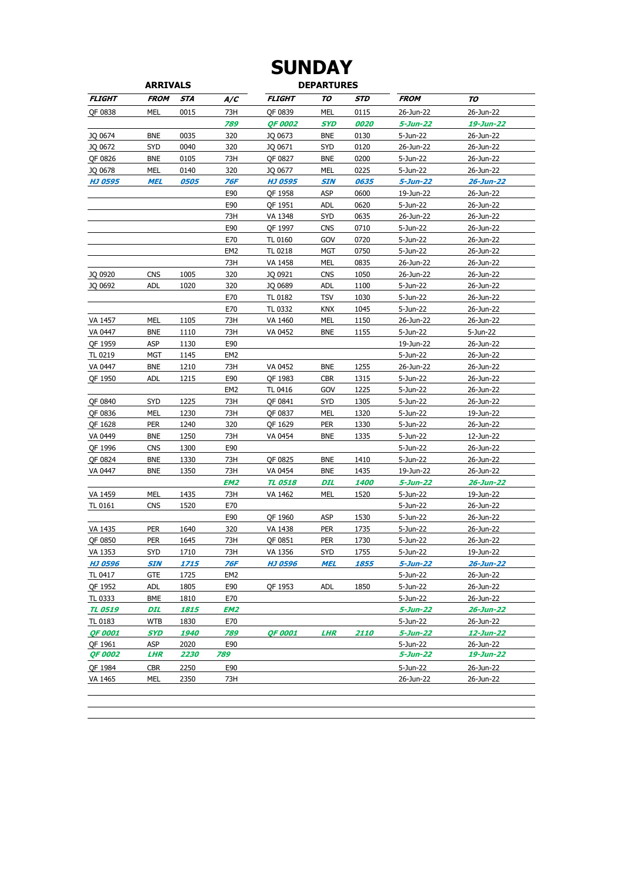### **ARRIVALS DEPARTURES SUNDAY**

|                | ANNIVALJ    |                    |                 |                |            |                    |                |           |
|----------------|-------------|--------------------|-----------------|----------------|------------|--------------------|----------------|-----------|
| <b>FLIGHT</b>  | <b>FROM</b> | STA                | A/C             | <b>FLIGHT</b>  | ΤΟ         | <b>STD</b>         | <b>FROM</b>    | ΤΟ        |
| QF 0838        | <b>MEL</b>  | 0015               | 73H             | QF 0839        | <b>MEL</b> | 0115               | 26-Jun-22      | 26-Jun-22 |
|                |             |                    | 789             | <b>QF 0002</b> | SYD        | 0020               | 5-Jun-22       | 19-Jun-22 |
| JQ 0674        | <b>BNE</b>  | 0035               | 320             | JQ 0673        | <b>BNE</b> | 0130               | 5-Jun-22       | 26-Jun-22 |
| JQ 0672        | <b>SYD</b>  | 0040               | 320             | JQ 0671        | <b>SYD</b> | 0120               | 26-Jun-22      | 26-Jun-22 |
| QF 0826        | <b>BNE</b>  | 0105               | 73H             | QF 0827        | <b>BNE</b> | 0200               | 5-Jun-22       | 26-Jun-22 |
| JQ 0678        | MEL         | 0140               | 320             | JQ 0677        | MEL        | 0225               | 5-Jun-22       | 26-Jun-22 |
| <b>HJ 0595</b> | MEL         | <i><b>0505</b></i> | 76F             | HJ 0595        | SIN        | 0635               | 5-Jun-22       | 26-Jun-22 |
|                |             |                    | E90             | QF 1958        | ASP        | 0600               | 19-Jun-22      | 26-Jun-22 |
|                |             |                    | E90             | QF 1951        | <b>ADL</b> | 0620               | 5-Jun-22       | 26-Jun-22 |
|                |             |                    | 73H             | VA 1348        | <b>SYD</b> | 0635               | 26-Jun-22      | 26-Jun-22 |
|                |             |                    | E90             | QF 1997        | <b>CNS</b> | 0710               | 5-Jun-22       | 26-Jun-22 |
|                |             |                    | E70             | TL 0160        | GOV        | 0720               | 5-Jun-22       | 26-Jun-22 |
|                |             |                    | EM <sub>2</sub> | TL 0218        | MGT        | 0750               | 5-Jun-22       | 26-Jun-22 |
|                |             |                    | 73H             | VA 1458        | MEL        | 0835               | 26-Jun-22      | 26-Jun-22 |
| JQ 0920        | <b>CNS</b>  | 1005               | 320             | JQ 0921        | <b>CNS</b> | 1050               | 26-Jun-22      | 26-Jun-22 |
| JQ 0692        | <b>ADL</b>  | 1020               | 320             | JQ 0689        | <b>ADL</b> | 1100               | 5-Jun-22       | 26-Jun-22 |
|                |             |                    | E70             | TL 0182        | <b>TSV</b> | 1030               | 5-Jun-22       | 26-Jun-22 |
|                |             |                    | E70             | TL 0332        | <b>KNX</b> | 1045               | 5-Jun-22       | 26-Jun-22 |
| VA 1457        | MEL         | 1105               | 73H             | VA 1460        | MEL        | 1150               | 26-Jun-22      | 26-Jun-22 |
| VA 0447        | <b>BNE</b>  | 1110               | 73H             | VA 0452        | <b>BNE</b> | 1155               | 5-Jun-22       | 5-Jun-22  |
| QF 1959        | ASP         | 1130               | E90             |                |            |                    | 19-Jun-22      | 26-Jun-22 |
| TL 0219        | <b>MGT</b>  | 1145               | EM <sub>2</sub> |                |            |                    | 5-Jun-22       | 26-Jun-22 |
| VA 0447        | <b>BNE</b>  | 1210               | 73H             | VA 0452        | <b>BNE</b> | 1255               | 26-Jun-22      | 26-Jun-22 |
| QF 1950        | <b>ADL</b>  | 1215               | E90             | QF 1983        | <b>CBR</b> | 1315               | 5-Jun-22       | 26-Jun-22 |
|                |             |                    | EM <sub>2</sub> | TL 0416        | GOV        | 1225               | 5-Jun-22       | 26-Jun-22 |
| QF 0840        | SYD         | 1225               | 73H             | QF 0841        | <b>SYD</b> | 1305               | 5-Jun-22       | 26-Jun-22 |
| QF 0836        | MEL         | 1230               | 73H             | QF 0837        | MEL        | 1320               | 5-Jun-22       | 19-Jun-22 |
| QF 1628        | <b>PER</b>  | 1240               | 320             | QF 1629        | <b>PER</b> | 1330               | 5-Jun-22       | 26-Jun-22 |
| VA 0449        | <b>BNE</b>  | 1250               | 73H             | VA 0454        | <b>BNE</b> | 1335               | 5-Jun-22       | 12-Jun-22 |
| QF 1996        | <b>CNS</b>  | 1300               | E90             |                |            |                    | 5-Jun-22       | 26-Jun-22 |
| QF 0824        | <b>BNE</b>  | 1330               | 73H             | QF 0825        | <b>BNE</b> | 1410               | 5-Jun-22       | 26-Jun-22 |
| VA 0447        | <b>BNE</b>  | 1350               | 73H             | VA 0454        | <b>BNE</b> | 1435               | 19-Jun-22      | 26-Jun-22 |
|                |             |                    | EM2             | <b>TL 0518</b> | DIL        | 1400               | 5-Jun-22       | 26-Jun-22 |
| VA 1459        | MEL         | 1435               | 73H             | VA 1462        | <b>MEL</b> | 1520               | 5-Jun-22       | 19-Jun-22 |
| <b>TL 0161</b> | <b>CNS</b>  | 1520               | E70             |                |            |                    | 5-Jun-22       | 26-Jun-22 |
|                |             |                    | E90             | QF 1960        | ASP        | 1530               | 5-Jun-22       | 26-Jun-22 |
| VA 1435        | <b>PER</b>  | 1640               | 320             | VA 1438        | <b>PER</b> | 1735               | 5-Jun-22       | 26-Jun-22 |
| QF 0850        | <b>PER</b>  | 1645               | 73H             | QF 0851        | <b>PER</b> | 1730               | 5-Jun-22       | 26-Jun-22 |
| VA 1353        | SYD         | 1710               | 73H             | VA 1356        | <b>SYD</b> | 1755               | 5-Jun-22       | 19-Jun-22 |
| <b>HJ 0596</b> | <b>SIN</b>  | 1715               | 76F             | <b>HJ 0596</b> | <b>MEL</b> | 1855               | $5 - Jun - 22$ | 26-Jun-22 |
| TL 0417        | <b>GTE</b>  | 1725               | EM <sub>2</sub> |                |            |                    | 5-Jun-22       | 26-Jun-22 |
| QF 1952        | <b>ADL</b>  | 1805               | E90             | QF 1953        | <b>ADL</b> | 1850               | 5-Jun-22       | 26-Jun-22 |
| TL 0333        | BME         | 1810               | E70             |                |            |                    | 5-Jun-22       | 26-Jun-22 |
| <b>TL 0519</b> | DIL         | 1815               | EM2             |                |            |                    | 5-Jun-22       | 26-Jun-22 |
| TL 0183        | <b>WTB</b>  | 1830               | E70             |                |            |                    | 5-Jun-22       | 26-Jun-22 |
| <b>QF 0001</b> | SYD         | <i><b>1940</b></i> | 789             | <b>QF 0001</b> | <b>LHR</b> | <i><b>2110</b></i> | 5-Jun-22       | 12-Jun-22 |
| QF 1961        | ASP         | 2020               | E90             |                |            |                    | 5-Jun-22       | 26-Jun-22 |
| <b>QF 0002</b> | <b>LHR</b>  | 2230               | 789             |                |            |                    | 5-Jun-22       | 19-Jun-22 |
| QF 1984        | <b>CBR</b>  | 2250               | E90             |                |            |                    | 5-Jun-22       | 26-Jun-22 |
| VA 1465        | MEL         | 2350               | 73H             |                |            |                    | 26-Jun-22      | 26-Jun-22 |
|                |             |                    |                 |                |            |                    |                |           |